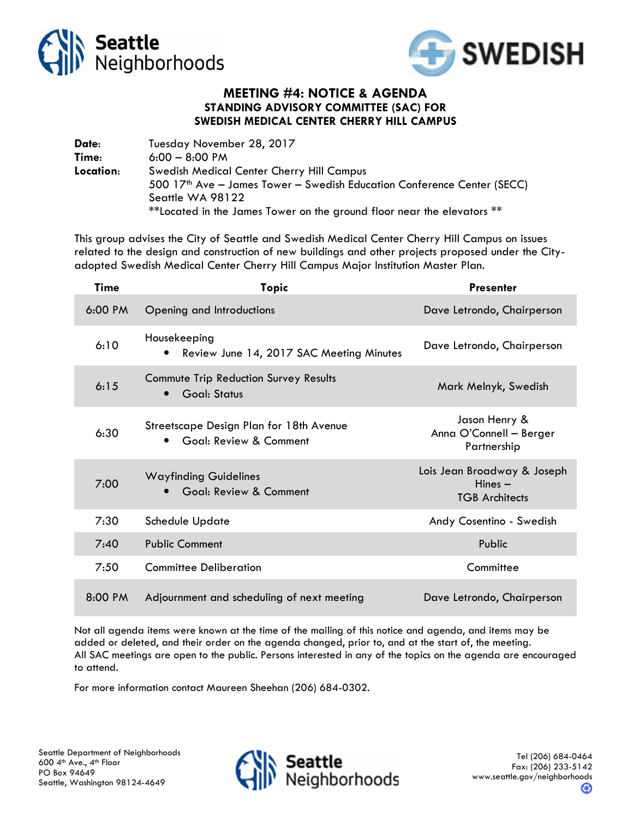



## MEETING #4: NOTICE & AGENDA STANDING ADVISORY COMMITTEE (SAC) FOR SWEDISH MEDICAL CENTER CHERRY HILL CAMPUS

Date: Tuesday November 28, 2017 Time: 6:00 – 8:00 PM Location: Swedish Medical Center Cherry Hill Campus 500 17th Ave – James Tower – Swedish Education Conference Center (SECC) Seattle WA 98122 \*\*Located in the James Tower on the ground floor near the elevators \*\*

This group advises the City of Seattle and Swedish Medical Center Cherry Hill Campus on issues related to the design and construction of new buildings and other projects proposed under the Cityadopted Swedish Medical Center Cherry Hill Campus Major Institution Master Plan.

| <b>Time</b>       | <b>Topic</b>                                                                   | <b>Presenter</b>                                                  |
|-------------------|--------------------------------------------------------------------------------|-------------------------------------------------------------------|
| $6:00 \text{ PM}$ | Opening and Introductions                                                      | Dave Letrondo, Chairperson                                        |
| 6:10              | Housekeeping<br>Review June 14, 2017 SAC Meeting Minutes<br>$\bullet$          | Dave Letrondo, Chairperson                                        |
| 6:15              | Commute Trip Reduction Survey Results<br>Goal: Status<br>$\bullet$             | Mark Melnyk, Swedish                                              |
| 6:30              | Streetscape Design Plan for 18th Avenue<br>Goal: Review & Comment<br>$\bullet$ | Jason Henry &<br>Anna O'Connell - Berger<br>Partnership           |
| 7:00              | <b>Wayfinding Guidelines</b><br>Goal: Review & Comment                         | Lois Jean Broadway & Joseph<br>$Hines -$<br><b>TGB Architects</b> |
| 7:30              | Schedule Update                                                                | Andy Cosentino - Swedish                                          |
| 7:40              | <b>Public Comment</b>                                                          | Public                                                            |
| 7:50              | <b>Committee Deliberation</b>                                                  | Committee                                                         |
| 8:00 PM           | Adjournment and scheduling of next meeting                                     | Dave Letrondo, Chairperson                                        |

Not all agenda items were known at the time of the mailing of this notice and agenda, and items may be added or deleted, and their order on the agenda changed, prior to, and at the start of, the meeting. All SAC meetings are open to the public. Persons interested in any of the topics on the agenda are encouraged to attend.

For more information contact Maureen Sheehan (206) 684-0302.